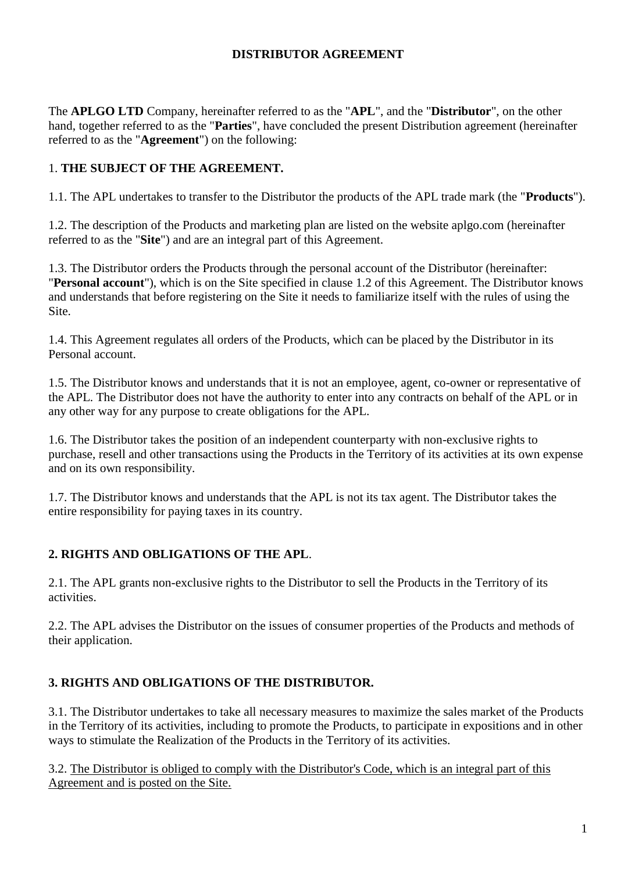#### **DISTRIBUTOR AGREEMENT**

The **APLGO LTD** Company, hereinafter referred to as the "**APL**", and the "**Distributor**", on the other hand, together referred to as the "**Parties**", have concluded the present Distribution agreement (hereinafter referred to as the "**Agreement**") on the following:

### 1. **THE SUBJECT OF THE AGREEMENT.**

1.1. The APL undertakes to transfer to the Distributor the products of the APL trade mark (the "**Products**").

1.2. The description of the Products and marketing plan are listed on the website aplgo.com (hereinafter referred to as the "**Site**") and are an integral part of this Agreement.

1.3. The Distributor orders the Products through the personal account of the Distributor (hereinafter: "**Personal account**"), which is on the Site specified in clause 1.2 of this Agreement. The Distributor knows and understands that before registering on the Site it needs to familiarize itself with the rules of using the Site.

1.4. This Agreement regulates all orders of the Products, which can be placed by the Distributor in its Personal account.

1.5. The Distributor knows and understands that it is not an employee, agent, co-owner or representative of the APL. The Distributor does not have the authority to enter into any contracts on behalf of the APL or in any other way for any purpose to create obligations for the APL.

1.6. The Distributor takes the position of an independent counterparty with non-exclusive rights to purchase, resell and other transactions using the Products in the Territory of its activities at its own expense and on its own responsibility.

1.7. The Distributor knows and understands that the APL is not its tax agent. The Distributor takes the entire responsibility for paying taxes in its country.

## **2. RIGHTS AND OBLIGATIONS OF THE APL**.

2.1. The APL grants non-exclusive rights to the Distributor to sell the Products in the Territory of its activities.

2.2. The APL advises the Distributor on the issues of consumer properties of the Products and methods of their application.

## **3. RIGHTS AND OBLIGATIONS OF THE DISTRIBUTOR.**

3.1. The Distributor undertakes to take all necessary measures to maximize the sales market of the Products in the Territory of its activities, including to promote the Products, to participate in expositions and in other ways to stimulate the Realization of the Products in the Territory of its activities.

3.2. The Distributor is obliged to comply with the Distributor's Code, which is an integral part of this Agreement and is posted on the Site.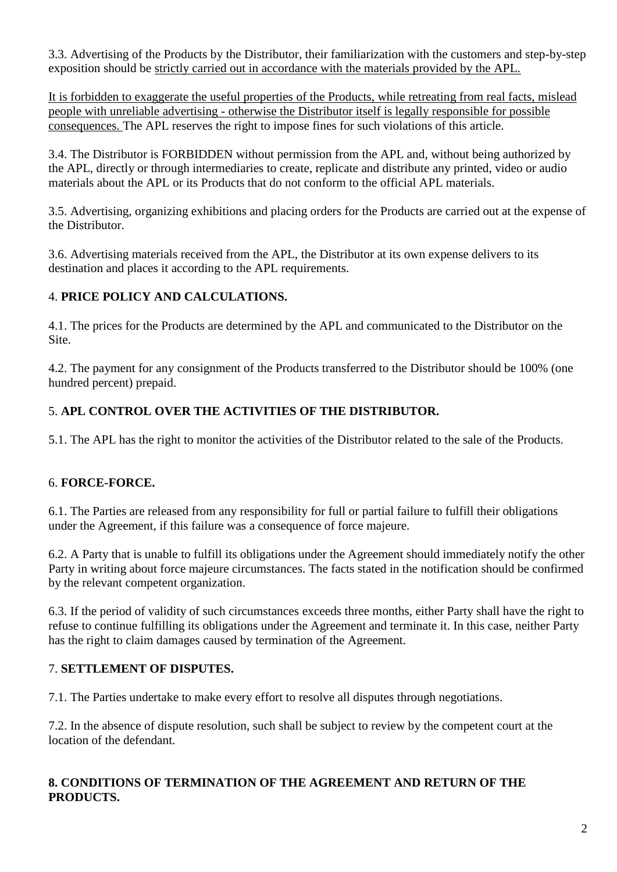3.3. Advertising of the Products by the Distributor, their familiarization with the customers and step-by-step exposition should be strictly carried out in accordance with the materials provided by the APL.

It is forbidden to exaggerate the useful properties of the Products, while retreating from real facts, mislead people with unreliable advertising - otherwise the Distributor itself is legally responsible for possible consequences. The APL reserves the right to impose fines for such violations of this article.

3.4. The Distributor is FORBIDDEN without permission from the APL and, without being authorized by the APL, directly or through intermediaries to create, replicate and distribute any printed, video or audio materials about the APL or its Products that do not conform to the official APL materials.

3.5. Advertising, organizing exhibitions and placing orders for the Products are carried out at the expense of the Distributor.

3.6. Advertising materials received from the APL, the Distributor at its own expense delivers to its destination and places it according to the APL requirements.

### 4. **PRICE POLICY AND CALCULATIONS.**

4.1. The prices for the Products are determined by the APL and communicated to the Distributor on the Site.

4.2. The payment for any consignment of the Products transferred to the Distributor should be 100% (one hundred percent) prepaid.

# 5. **APL CONTROL OVER THE ACTIVITIES OF THE DISTRIBUTOR.**

5.1. The APL has the right to monitor the activities of the Distributor related to the sale of the Products.

## 6. **FORCE-FORCE.**

6.1. The Parties are released from any responsibility for full or partial failure to fulfill their obligations under the Agreement, if this failure was a consequence of force majeure.

6.2. A Party that is unable to fulfill its obligations under the Agreement should immediately notify the other Party in writing about force majeure circumstances. The facts stated in the notification should be confirmed by the relevant competent organization.

6.3. If the period of validity of such circumstances exceeds three months, either Party shall have the right to refuse to continue fulfilling its obligations under the Agreement and terminate it. In this case, neither Party has the right to claim damages caused by termination of the Agreement.

## 7. **SETTLEMENT OF DISPUTES.**

7.1. The Parties undertake to make every effort to resolve all disputes through negotiations.

7.2. In the absence of dispute resolution, such shall be subject to review by the competent court at the location of the defendant.

### **8. CONDITIONS OF TERMINATION OF THE AGREEMENT AND RETURN OF THE PRODUCTS.**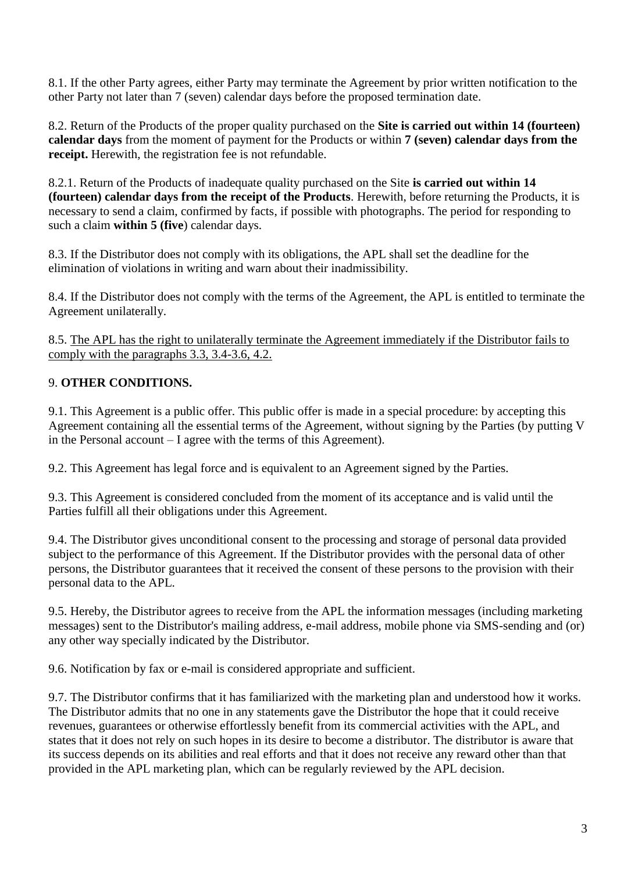8.1. If the other Party agrees, either Party may terminate the Agreement by prior written notification to the other Party not later than 7 (seven) calendar days before the proposed termination date.

8.2. Return of the Products of the proper quality purchased on the **Site is carried out within 14 (fourteen) calendar days** from the moment of payment for the Products or within **7 (seven) calendar days from the receipt.** Herewith, the registration fee is not refundable.

8.2.1. Return of the Products of inadequate quality purchased on the Site **is carried out within 14 (fourteen) calendar days from the receipt of the Products**. Herewith, before returning the Products, it is necessary to send a claim, confirmed by facts, if possible with photographs. The period for responding to such a claim **within 5 (five**) calendar days.

8.3. If the Distributor does not comply with its obligations, the APL shall set the deadline for the elimination of violations in writing and warn about their inadmissibility.

8.4. If the Distributor does not comply with the terms of the Agreement, the APL is entitled to terminate the Agreement unilaterally.

8.5. The APL has the right to unilaterally terminate the Agreement immediately if the Distributor fails to comply with the paragraphs 3.3, 3.4-3.6, 4.2.

## 9. **OTHER CONDITIONS.**

9.1. This Agreement is a public offer. This public offer is made in a special procedure: by accepting this Agreement containing all the essential terms of the Agreement, without signing by the Parties (by putting V in the Personal account – I agree with the terms of this Agreement).

9.2. This Agreement has legal force and is equivalent to an Agreement signed by the Parties.

9.3. This Agreement is considered concluded from the moment of its acceptance and is valid until the Parties fulfill all their obligations under this Agreement.

9.4. The Distributor gives unconditional consent to the processing and storage of personal data provided subject to the performance of this Agreement. If the Distributor provides with the personal data of other persons, the Distributor guarantees that it received the consent of these persons to the provision with their personal data to the APL.

9.5. Hereby, the Distributor agrees to receive from the APL the information messages (including marketing messages) sent to the Distributor's mailing address, e-mail address, mobile phone via SMS-sending and (or) any other way specially indicated by the Distributor.

9.6. Notification by fax or e-mail is considered appropriate and sufficient.

9.7. The Distributor confirms that it has familiarized with the marketing plan and understood how it works. The Distributor admits that no one in any statements gave the Distributor the hope that it could receive revenues, guarantees or otherwise effortlessly benefit from its commercial activities with the APL, and states that it does not rely on such hopes in its desire to become a distributor. The distributor is aware that its success depends on its abilities and real efforts and that it does not receive any reward other than that provided in the APL marketing plan, which can be regularly reviewed by the APL decision.